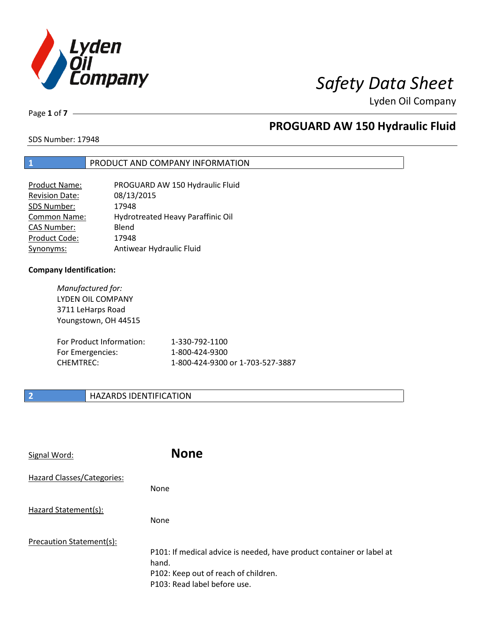

Page **1** of **7**

# **PROGUARD AW 150 Hydraulic Fluid**

SDS Number: 17948

### **1** PRODUCT AND COMPANY INFORMATION

| <b>Product Name:</b>  | PROGUARD AW 150 Hydraulic Fluid   |
|-----------------------|-----------------------------------|
| <b>Revision Date:</b> | 08/13/2015                        |
| SDS Number:           | 17948                             |
| <b>Common Name:</b>   | Hydrotreated Heavy Paraffinic Oil |
| <b>CAS Number:</b>    | Blend                             |
| Product Code:         | 17948                             |
| Synonyms:             | Antiwear Hydraulic Fluid          |

### **Company Identification:**

*Manufactured for:* LYDEN OIL COMPANY 3711 LeHarps Road Youngstown, OH 44515

| For Product Information: | 1-330-792-1100                   |
|--------------------------|----------------------------------|
| For Emergencies:         | 1-800-424-9300                   |
| CHEMTREC:                | 1-800-424-9300 or 1-703-527-3887 |

### **2 HAZARDS IDENTIFICATION**

| Signal Word:               | <b>None</b>                                                                                                                                            |
|----------------------------|--------------------------------------------------------------------------------------------------------------------------------------------------------|
| Hazard Classes/Categories: | None                                                                                                                                                   |
| Hazard Statement(s):       | <b>None</b>                                                                                                                                            |
| Precaution Statement(s):   | P101: If medical advice is needed, have product container or label at<br>hand.<br>P102: Keep out of reach of children.<br>P103: Read label before use. |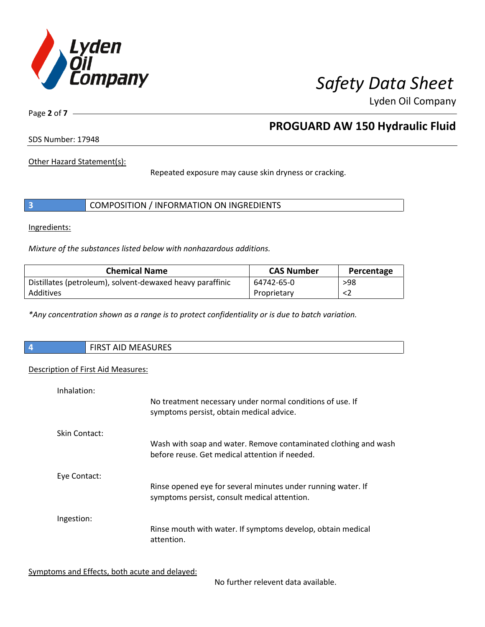

Page **2** of **7**

# **PROGUARD AW 150 Hydraulic Fluid**

SDS Number: 17948

Other Hazard Statement(s):

Repeated exposure may cause skin dryness or cracking.

|  | COMPOSITION / INFORMATION ON INGREDIENTS |  |
|--|------------------------------------------|--|
|--|------------------------------------------|--|

Ingredients:

*Mixture of the substances listed below with nonhazardous additions.*

| <b>Chemical Name</b>                                      | <b>CAS Number</b> | Percentage |
|-----------------------------------------------------------|-------------------|------------|
| Distillates (petroleum), solvent-dewaxed heavy paraffinic | 64742-65-0        | >98        |
| Additives                                                 | Proprietary       |            |

*\*Any concentration shown as a range is to protect confidentiality or is due to batch variation.*

| <b>AACACURECT</b><br>$\overline{4}$<br>$\sim$ close $\sim$<br>T AID MEASURES<br>כחו |  |
|-------------------------------------------------------------------------------------|--|
|                                                                                     |  |

### Description of First Aid Measures:

| Inhalation:   | No treatment necessary under normal conditions of use. If                                                         |
|---------------|-------------------------------------------------------------------------------------------------------------------|
|               | symptoms persist, obtain medical advice.                                                                          |
| Skin Contact: |                                                                                                                   |
|               | Wash with soap and water. Remove contaminated clothing and wash<br>before reuse. Get medical attention if needed. |
| Eye Contact:  |                                                                                                                   |
|               | Rinse opened eye for several minutes under running water. If<br>symptoms persist, consult medical attention.      |
| Ingestion:    |                                                                                                                   |
|               | Rinse mouth with water. If symptoms develop, obtain medical<br>attention.                                         |

Symptoms and Effects, both acute and delayed:

No further relevent data available.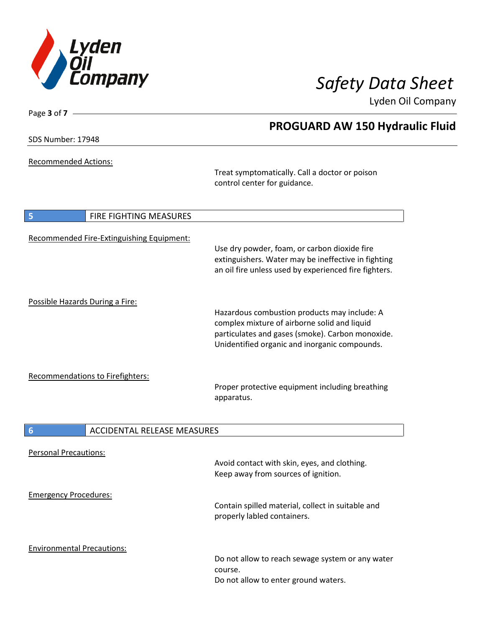

**PROGUARD AW 150 Hydraulic Fluid**

Lyden Oil Company

SDS Number: 17948

Page **3** of **7**

Recommended Actions:

Treat symptomatically. Call a doctor or poison control center for guidance.

| 5<br>FIRE FIGHTING MEASURES                           |                                                                                                                                                                                                   |
|-------------------------------------------------------|---------------------------------------------------------------------------------------------------------------------------------------------------------------------------------------------------|
| Recommended Fire-Extinguishing Equipment:             | Use dry powder, foam, or carbon dioxide fire<br>extinguishers. Water may be ineffective in fighting<br>an oil fire unless used by experienced fire fighters.                                      |
| Possible Hazards During a Fire:                       | Hazardous combustion products may include: A<br>complex mixture of airborne solid and liquid<br>particulates and gases (smoke). Carbon monoxide.<br>Unidentified organic and inorganic compounds. |
| Recommendations to Firefighters:                      | Proper protective equipment including breathing<br>apparatus.                                                                                                                                     |
| $6\overline{6}$<br><b>ACCIDENTAL RELEASE MEASURES</b> |                                                                                                                                                                                                   |
| <b>Personal Precautions:</b>                          | Avoid contact with skin, eyes, and clothing.<br>Keep away from sources of ignition.                                                                                                               |
| <b>Emergency Procedures:</b>                          | Contain spilled material, collect in suitable and<br>properly labled containers.                                                                                                                  |
| <b>Environmental Precautions:</b>                     | Do not allow to reach sewage system or any water<br>course.<br>Do not allow to enter ground waters.                                                                                               |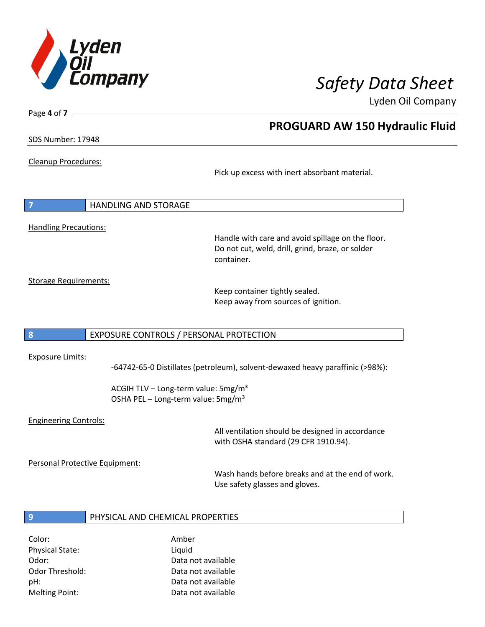

Page **4** of **7**

# **PROGUARD AW 150 Hydraulic Fluid**

SDS Number: 17948

Cleanup Procedures:

Pick up excess with inert absorbant material.

| $\overline{7}$               | HANDLING AND STORAGE |
|------------------------------|----------------------|
|                              |                      |
| <b>Handling Precautions:</b> |                      |

Handle with care and avoid spillage on the floor. Do not cut, weld, drill, grind, braze, or solder container.

Storage Requirements:

Keep container tightly sealed. Keep away from sources of ignition.

### **8** EXPOSURE CONTROLS / PERSONAL PROTECTION

### Exposure Limits:

-64742-65-0 Distillates (petroleum), solvent-dewaxed heavy paraffinic (>98%):

ACGIH TLV – Long-term value:  $5mg/m<sup>3</sup>$ OSHA PEL - Long-term value: 5mg/m<sup>3</sup>

### Engineering Controls:

All ventilation should be designed in accordance with OSHA standard (29 CFR 1910.94).

Personal Protective Equipment:

Wash hands before breaks and at the end of work. Use safety glasses and gloves.

### **9** PHYSICAL AND CHEMICAL PROPERTIES

Color: Amber Physical State: Liquid

Odor: Data not available Odor Threshold: Data not available pH: Data not available Melting Point: Data not available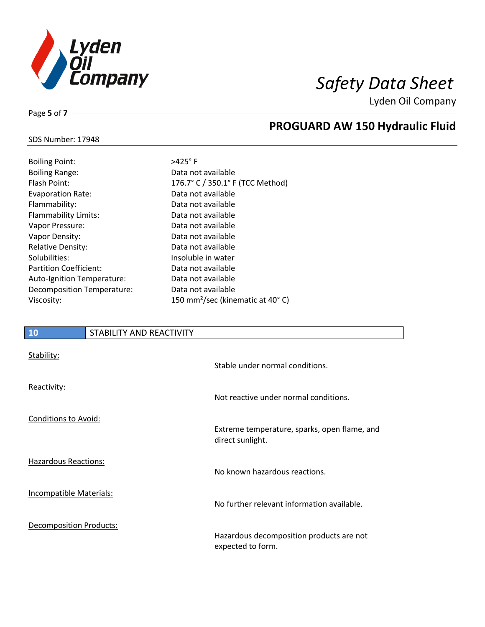

**PROGUARD AW 150 Hydraulic Fluid**

Lyden Oil Company

## SDS Number: 17948

Page **5** of **7**

| <b>Boiling Point:</b>             | $>425^\circ$ F                               |
|-----------------------------------|----------------------------------------------|
| <b>Boiling Range:</b>             | Data not available                           |
| Flash Point:                      | 176.7° C / 350.1° F (TCC Method)             |
| <b>Evaporation Rate:</b>          | Data not available                           |
| Flammability:                     | Data not available                           |
| <b>Flammability Limits:</b>       | Data not available                           |
| Vapor Pressure:                   | Data not available                           |
| Vapor Density:                    | Data not available                           |
| <b>Relative Density:</b>          | Data not available                           |
| Solubilities:                     | Insoluble in water                           |
| <b>Partition Coefficient:</b>     | Data not available                           |
| <b>Auto-Ignition Temperature:</b> | Data not available                           |
| Decomposition Temperature:        | Data not available                           |
| Viscosity:                        | 150 mm <sup>2</sup> /sec (kinematic at 40°C) |
|                                   |                                              |

# **10** STABILITY AND REACTIVITY

| Stability:                     | Stable under normal conditions.                                  |
|--------------------------------|------------------------------------------------------------------|
| Reactivity:                    | Not reactive under normal conditions.                            |
| <b>Conditions to Avoid:</b>    | Extreme temperature, sparks, open flame, and<br>direct sunlight. |
| <b>Hazardous Reactions:</b>    | No known hazardous reactions.                                    |
| Incompatible Materials:        | No further relevant information available.                       |
| <b>Decomposition Products:</b> | Hazardous decomposition products are not<br>expected to form.    |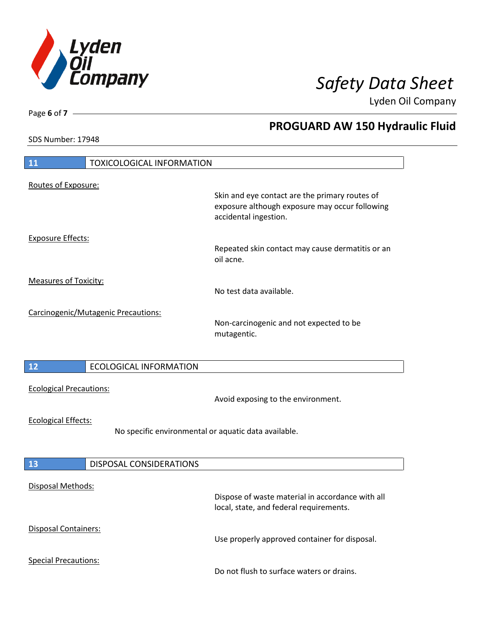

**PROGUARD AW 150 Hydraulic Fluid**

Lyden Oil Company

SDS Number: 17948

# **11** TOXICOLOGICAL INFORMATION Routes of Exposure: Skin and eye contact are the primary routes of exposure although exposure may occur following accidental ingestion. Exposure Effects: Repeated skin contact may cause dermatitis or an oil acne. Measures of Toxicity: No test data available. Carcinogenic/Mutagenic Precautions: Non-carcinogenic and not expected to be mutagentic. **12** ECOLOGICAL INFORMATION Ecological Precautions: Avoid exposing to the environment. Ecological Effects: No specific environmental or aquatic data available. **13** DISPOSAL CONSIDERATIONS Disposal Methods: Dispose of waste material in accordance with all local, state, and federal requirements. Disposal Containers: Use properly approved container for disposal. Special Precautions: Do not flush to surface waters or drains.

Page **6** of **7**